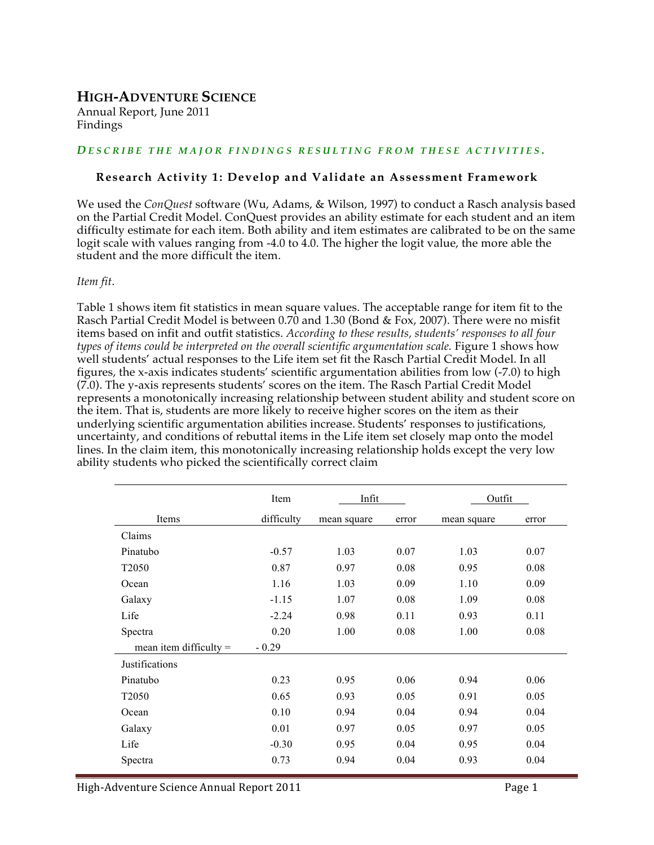# **HIGH-ADVENTURE SCIENCE**

Annual Report, June 2011 Findings

### *D ESCRIBE THE MAJOR FI NDINGS RESULTING FRO M THESE ACTIVITIES .*

### **Research Activity 1: Develop and Validate an Assessment Framework**

We used the *ConQuest* software (Wu, Adams, & Wilson, 1997) to conduct a Rasch analysis based on the Partial Credit Model. ConQuest provides an ability estimate for each student and an item difficulty estimate for each item. Both ability and item estimates are calibrated to be on the same logit scale with values ranging from -4.0 to 4.0. The higher the logit value, the more able the student and the more difficult the item.

#### *Item fit*.

Table 1 shows item fit statistics in mean square values. The acceptable range for item fit to the Rasch Partial Credit Model is between 0.70 and 1.30 (Bond & Fox, 2007). There were no misfit items based on infit and outfit statistics. *According to these results, students' responses to all four types of items could be interpreted on the overall scientific argumentation scale.* Figure 1 shows how well students' actual responses to the Life item set fit the Rasch Partial Credit Model. In all figures, the x-axis indicates students' scientific argumentation abilities from low (-7.0) to high (7.0). The y-axis represents students' scores on the item. The Rasch Partial Credit Model represents a monotonically increasing relationship between student ability and student score on the item. That is, students are more likely to receive higher scores on the item as their underlying scientific argumentation abilities increase. Students' responses to justifications, uncertainty, and conditions of rebuttal items in the Life item set closely map onto the model lines. In the claim item, this monotonically increasing relationship holds except the very low ability students who picked the scientifically correct claim

|                          | Item       | Infit       |       | Outfit      |       |
|--------------------------|------------|-------------|-------|-------------|-------|
| Items                    | difficulty | mean square | error | mean square | error |
| Claims                   |            |             |       |             |       |
| Pinatubo                 | $-0.57$    | 1.03        | 0.07  | 1.03        | 0.07  |
| T <sub>2050</sub>        | 0.87       | 0.97        | 0.08  | 0.95        | 0.08  |
| Ocean                    | 1.16       | 1.03        | 0.09  | 1.10        | 0.09  |
| Galaxy                   | $-1.15$    | 1.07        | 0.08  | 1.09        | 0.08  |
| Life                     | $-2.24$    | 0.98        | 0.11  | 0.93        | 0.11  |
| Spectra                  | 0.20       | 1.00        | 0.08  | 1.00        | 0.08  |
| mean item difficulty $=$ | $-0.29$    |             |       |             |       |
| Justifications           |            |             |       |             |       |
| Pinatubo                 | 0.23       | 0.95        | 0.06  | 0.94        | 0.06  |
| T2050                    | 0.65       | 0.93        | 0.05  | 0.91        | 0.05  |
| Ocean                    | 0.10       | 0.94        | 0.04  | 0.94        | 0.04  |
| Galaxy                   | 0.01       | 0.97        | 0.05  | 0.97        | 0.05  |
| Life                     | $-0.30$    | 0.95        | 0.04  | 0.95        | 0.04  |
| Spectra                  | 0.73       | 0.94        | 0.04  | 0.93        | 0.04  |

High-Adventure Science Annual Report 2011 **Page.1** Page 1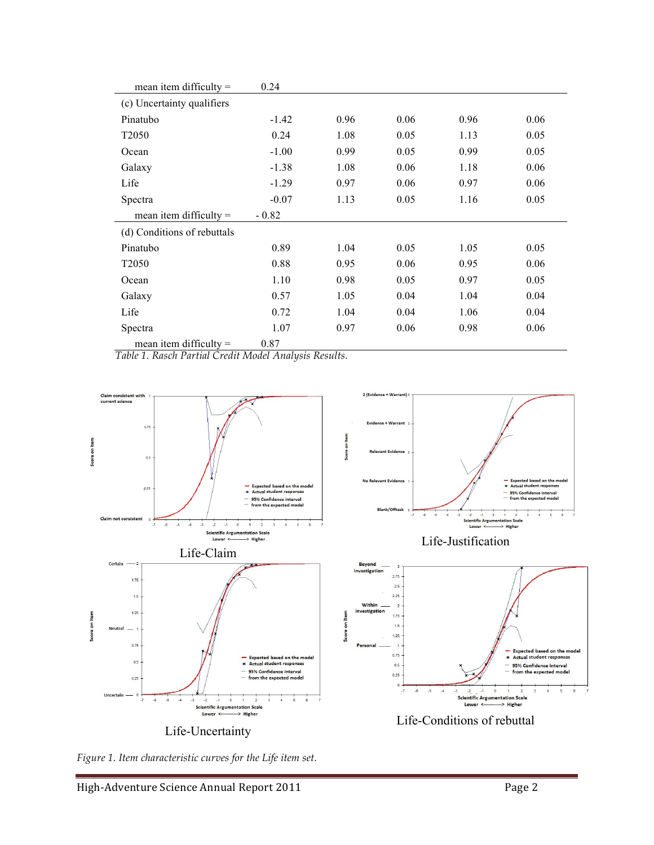| mean item difficulty $=$    | 0.24    |      |      |      |      |
|-----------------------------|---------|------|------|------|------|
| (c) Uncertainty qualifiers  |         |      |      |      |      |
| Pinatubo                    | $-1.42$ | 0.96 | 0.06 | 0.96 | 0.06 |
| T <sub>2050</sub>           | 0.24    | 1.08 | 0.05 | 1.13 | 0.05 |
| Ocean                       | $-1.00$ | 0.99 | 0.05 | 0.99 | 0.05 |
| Galaxy                      | $-1.38$ | 1.08 | 0.06 | 1.18 | 0.06 |
| Life                        | $-1.29$ | 0.97 | 0.06 | 0.97 | 0.06 |
| Spectra                     | $-0.07$ | 1.13 | 0.05 | 1.16 | 0.05 |
| mean item difficulty $=$    | $-0.82$ |      |      |      |      |
| (d) Conditions of rebuttals |         |      |      |      |      |
| Pinatubo                    | 0.89    | 1.04 | 0.05 | 1.05 | 0.05 |
| T <sub>2050</sub>           | 0.88    | 0.95 | 0.06 | 0.95 | 0.06 |
| Ocean                       | 1.10    | 0.98 | 0.05 | 0.97 | 0.05 |
| Galaxy                      | 0.57    | 1.05 | 0.04 | 1.04 | 0.04 |
| Life                        | 0.72    | 1.04 | 0.04 | 1.06 | 0.04 |
| Spectra                     | 1.07    | 0.97 | 0.06 | 0.98 | 0.06 |
| mean item difficulty $=$    | 0.87    |      |      |      |      |

*Table 1. Rasch Partial Credit Model Analysis Results.*



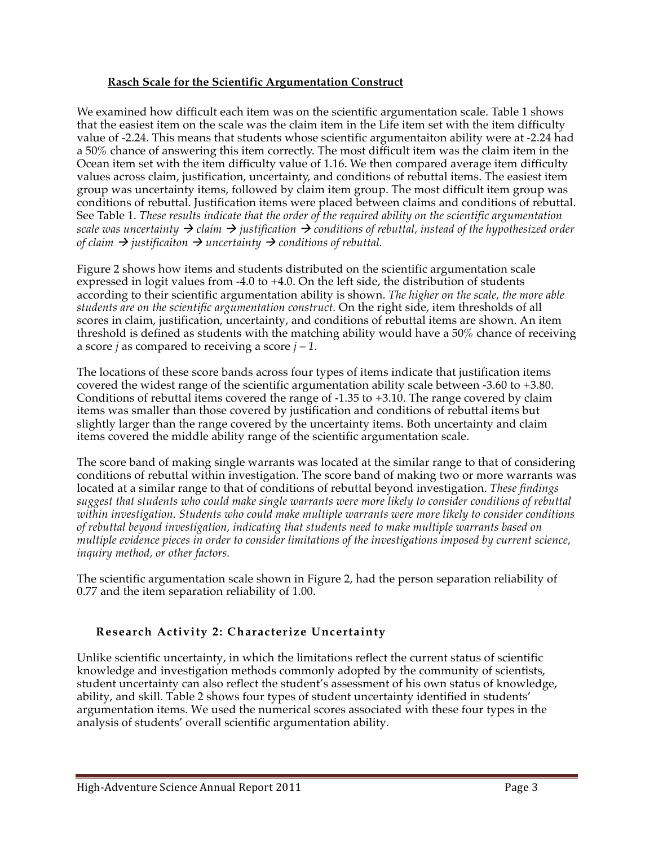## **Rasch Scale for the Scientific Argumentation Construct**

We examined how difficult each item was on the scientific argumentation scale. Table 1 shows that the easiest item on the scale was the claim item in the Life item set with the item difficulty value of -2.24. This means that students whose scientific argumentaiton ability were at -2.24 had a 50% chance of answering this item correctly. The most difficult item was the claim item in the Ocean item set with the item difficulty value of 1.16. We then compared average item difficulty values across claim, justification, uncertainty, and conditions of rebuttal items. The easiest item group was uncertainty items, followed by claim item group. The most difficult item group was conditions of rebuttal. Justification items were placed between claims and conditions of rebuttal. See Table 1. *These results indicate that the order of the required ability on the scientific argumentation scale was uncertainty*  $\rightarrow$  *claim*  $\rightarrow$  *justification*  $\rightarrow$  *conditions of rebuttal, instead of the hypothesized order of claim*  $\rightarrow$  *justificaiton*  $\rightarrow$  *uncertainty*  $\rightarrow$  *conditions of rebuttal.* 

Figure 2 shows how items and students distributed on the scientific argumentation scale expressed in logit values from -4.0 to +4.0. On the left side, the distribution of students according to their scientific argumentation ability is shown. *The higher on the scale, the more able students are on the scientific argumentation construct.* On the right side, item thresholds of all scores in claim, justification, uncertainty, and conditions of rebuttal items are shown. An item threshold is defined as students with the matching ability would have a 50% chance of receiving a score *j* as compared to receiving a score *j – 1*.

The locations of these score bands across four types of items indicate that justification items covered the widest range of the scientific argumentation ability scale between -3.60 to +3.80. Conditions of rebuttal items covered the range of -1.35 to +3.10. The range covered by claim items was smaller than those covered by justification and conditions of rebuttal items but slightly larger than the range covered by the uncertainty items. Both uncertainty and claim items covered the middle ability range of the scientific argumentation scale.

The score band of making single warrants was located at the similar range to that of considering conditions of rebuttal within investigation. The score band of making two or more warrants was located at a similar range to that of conditions of rebuttal beyond investigation. *These findings suggest that students who could make single warrants were more likely to consider conditions of rebuttal within investigation. Students who could make multiple warrants were more likely to consider conditions of rebuttal beyond investigation, indicating that students need to make multiple warrants based on multiple evidence pieces in order to consider limitations of the investigations imposed by current science, inquiry method, or other factors.* 

The scientific argumentation scale shown in Figure 2, had the person separation reliability of 0.77 and the item separation reliability of 1.00.

# **Research Activity 2: Characterize Uncertainty**

Unlike scientific uncertainty, in which the limitations reflect the current status of scientific knowledge and investigation methods commonly adopted by the community of scientists, student uncertainty can also reflect the student's assessment of his own status of knowledge, ability, and skill. Table 2 shows four types of student uncertainty identified in students' argumentation items. We used the numerical scores associated with these four types in the analysis of students' overall scientific argumentation ability.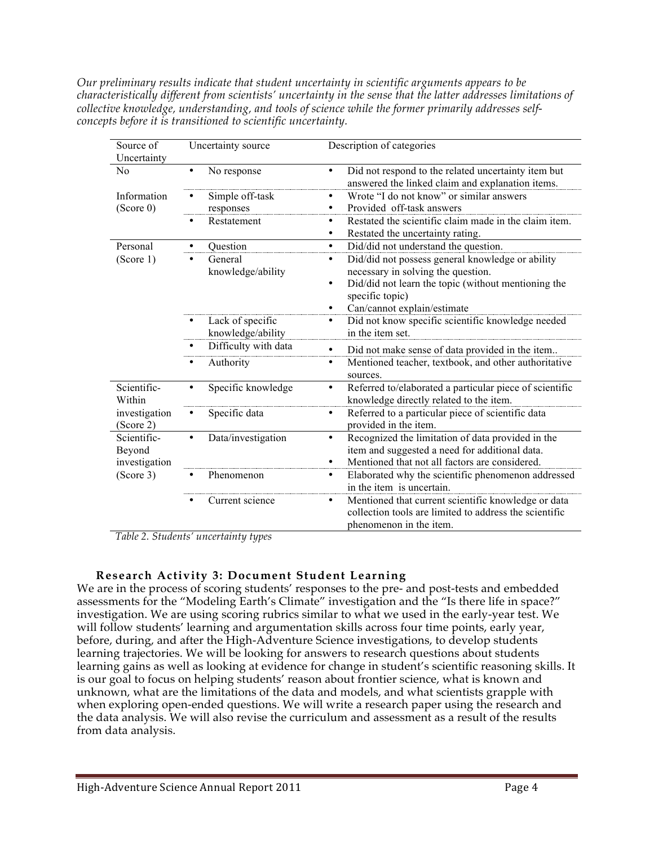*Our preliminary results indicate that student uncertainty in scientific arguments appears to be characteristically different from scientists' uncertainty in the sense that the latter addresses limitations of collective knowledge, understanding, and tools of science while the former primarily addresses selfconcepts before it is transitioned to scientific uncertainty.*

| Source of                                           | Uncertainty source   | Description of categories                                                                               |  |  |  |  |
|-----------------------------------------------------|----------------------|---------------------------------------------------------------------------------------------------------|--|--|--|--|
| Uncertainty                                         |                      |                                                                                                         |  |  |  |  |
| No                                                  | No response          | Did not respond to the related uncertainty item but<br>answered the linked claim and explanation items. |  |  |  |  |
| Information                                         | Simple off-task      | Wrote "I do not know" or similar answers                                                                |  |  |  |  |
| (Score 0)                                           | responses            | Provided off-task answers                                                                               |  |  |  |  |
|                                                     | Restatement          | Restated the scientific claim made in the claim item.<br>٠                                              |  |  |  |  |
|                                                     |                      | Restated the uncertainty rating.<br>٠                                                                   |  |  |  |  |
| Personal                                            | Question             | Did/did not understand the question.<br>$\bullet$                                                       |  |  |  |  |
| (Score 1)                                           | General              | Did/did not possess general knowledge or ability<br>$\bullet$                                           |  |  |  |  |
|                                                     | knowledge/ability    | necessary in solving the question.                                                                      |  |  |  |  |
|                                                     |                      | Did/did not learn the topic (without mentioning the<br>٠                                                |  |  |  |  |
|                                                     |                      | specific topic)                                                                                         |  |  |  |  |
|                                                     |                      | Can/cannot explain/estimate                                                                             |  |  |  |  |
|                                                     | Lack of specific     | Did not know specific scientific knowledge needed<br>$\bullet$                                          |  |  |  |  |
|                                                     | knowledge/ability    | in the item set.                                                                                        |  |  |  |  |
|                                                     | Difficulty with data | Did not make sense of data provided in the item<br>٠                                                    |  |  |  |  |
|                                                     | Authority            | Mentioned teacher, textbook, and other authoritative<br>٠                                               |  |  |  |  |
|                                                     |                      | sources.                                                                                                |  |  |  |  |
| Scientific-                                         | Specific knowledge   | Referred to/elaborated a particular piece of scientific<br>$\bullet$                                    |  |  |  |  |
| Within                                              |                      | knowledge directly related to the item.                                                                 |  |  |  |  |
| investigation                                       | Specific data        | Referred to a particular piece of scientific data<br>$\bullet$                                          |  |  |  |  |
| (Score 2)                                           |                      | provided in the item.                                                                                   |  |  |  |  |
| Scientific-<br>Beyond<br>investigation<br>(Score 3) | Data/investigation   | Recognized the limitation of data provided in the<br>٠                                                  |  |  |  |  |
|                                                     |                      | item and suggested a need for additional data.                                                          |  |  |  |  |
|                                                     |                      | Mentioned that not all factors are considered.<br>٠                                                     |  |  |  |  |
|                                                     | Phenomenon           | Elaborated why the scientific phenomenon addressed<br>$\bullet$                                         |  |  |  |  |
|                                                     |                      | in the item is uncertain.                                                                               |  |  |  |  |
|                                                     | Current science      | Mentioned that current scientific knowledge or data<br>٠                                                |  |  |  |  |
|                                                     |                      | collection tools are limited to address the scientific                                                  |  |  |  |  |
|                                                     |                      | phenomenon in the item.                                                                                 |  |  |  |  |

*Table 2. Students' uncertainty types*

## **Research Activity 3: Document Student Learning**

We are in the process of scoring students' responses to the pre- and post-tests and embedded assessments for the "Modeling Earth's Climate" investigation and the "Is there life in space?" investigation. We are using scoring rubrics similar to what we used in the early-year test. We will follow students' learning and argumentation skills across four time points, early year, before, during, and after the High-Adventure Science investigations, to develop students learning trajectories. We will be looking for answers to research questions about students learning gains as well as looking at evidence for change in student's scientific reasoning skills. It is our goal to focus on helping students' reason about frontier science, what is known and unknown, what are the limitations of the data and models, and what scientists grapple with when exploring open-ended questions. We will write a research paper using the research and the data analysis. We will also revise the curriculum and assessment as a result of the results from data analysis.